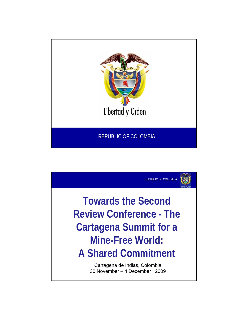

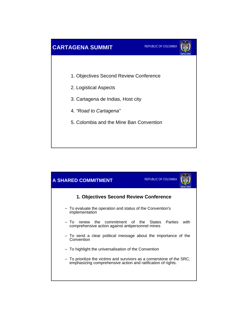

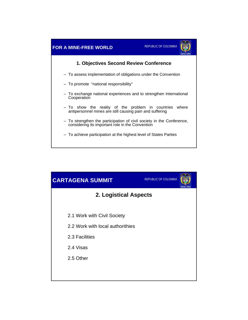

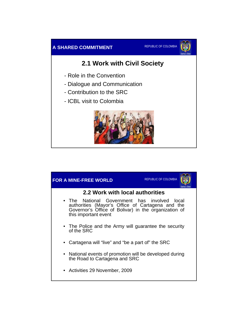



## **2.1 Work with Civil Society**

- Role in the Convention
- Dialogue and Communication
- Contribution to the SRC
- ICBL visit to Colombia



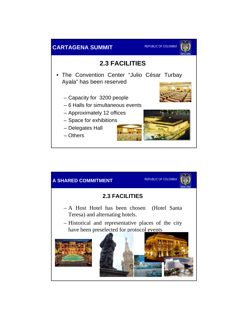

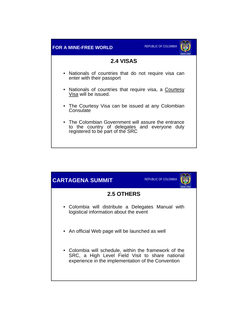

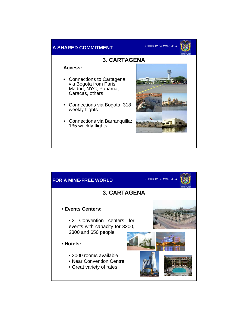

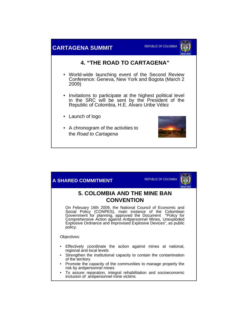